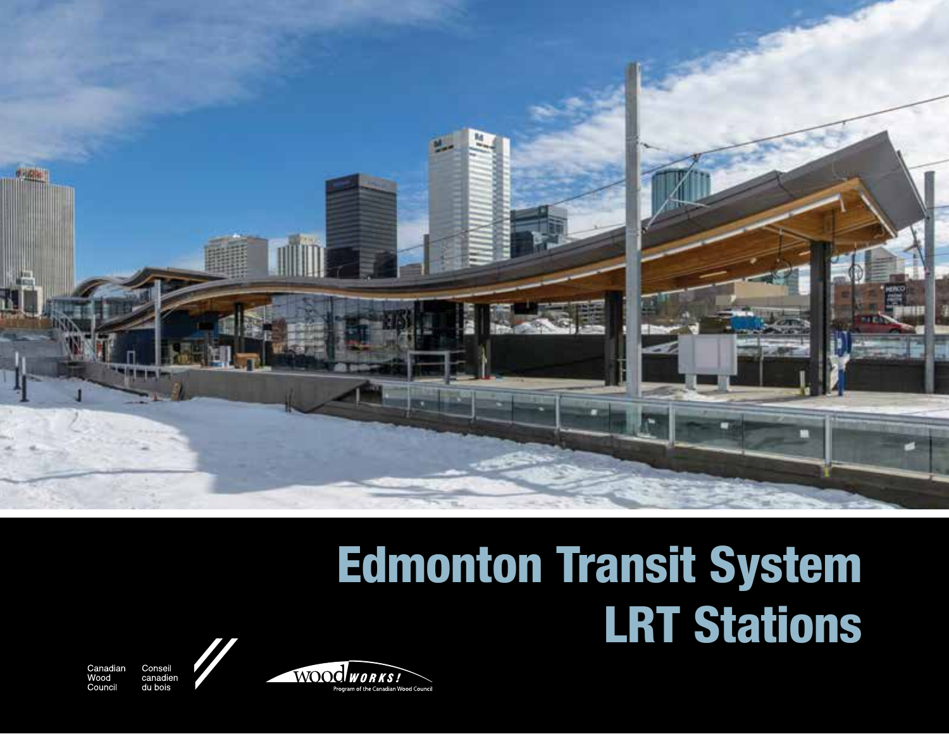

# Edmonton Transit System LRT Stations

Canadian Wood Council

Consei canadien du bois

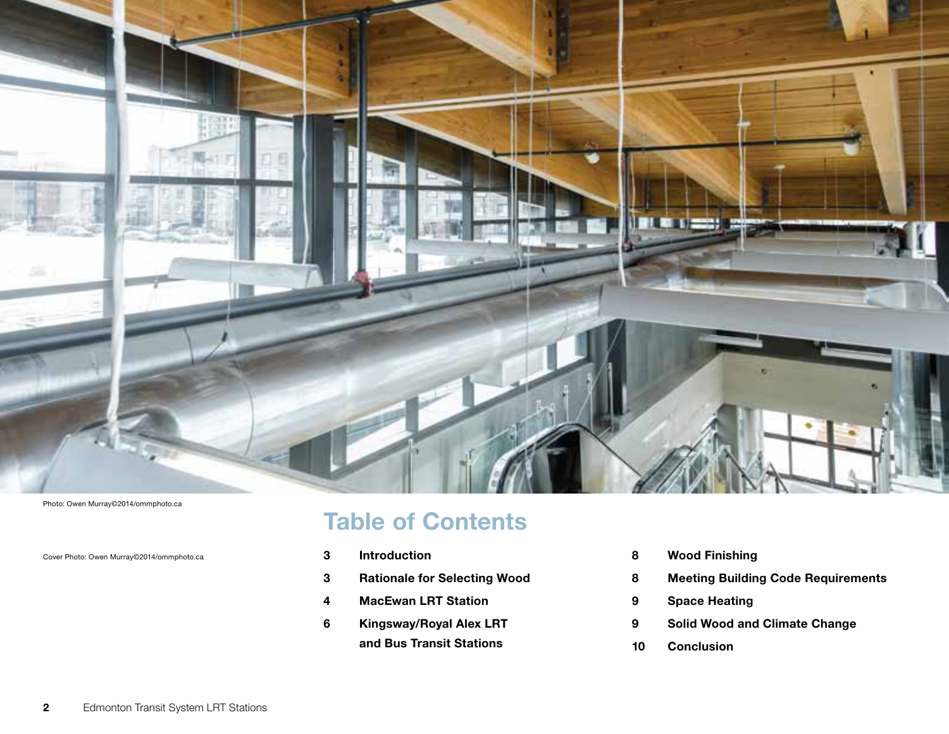

Photo: Owen Murray©2014/ommphoto.ca

Cover Photo: Owen Murray©2014/ommphoto.ca

Table of Contents

- Introduction
- Rationale for Selecting Wood
- MacEwan LRT Station
- 6 Kingsway/Royal Alex LRT and Bus Transit Stations
- Wood Finishing
- Meeting Building Code Requirements
- Space Heating
- Solid Wood and Climate Change
- Conclusion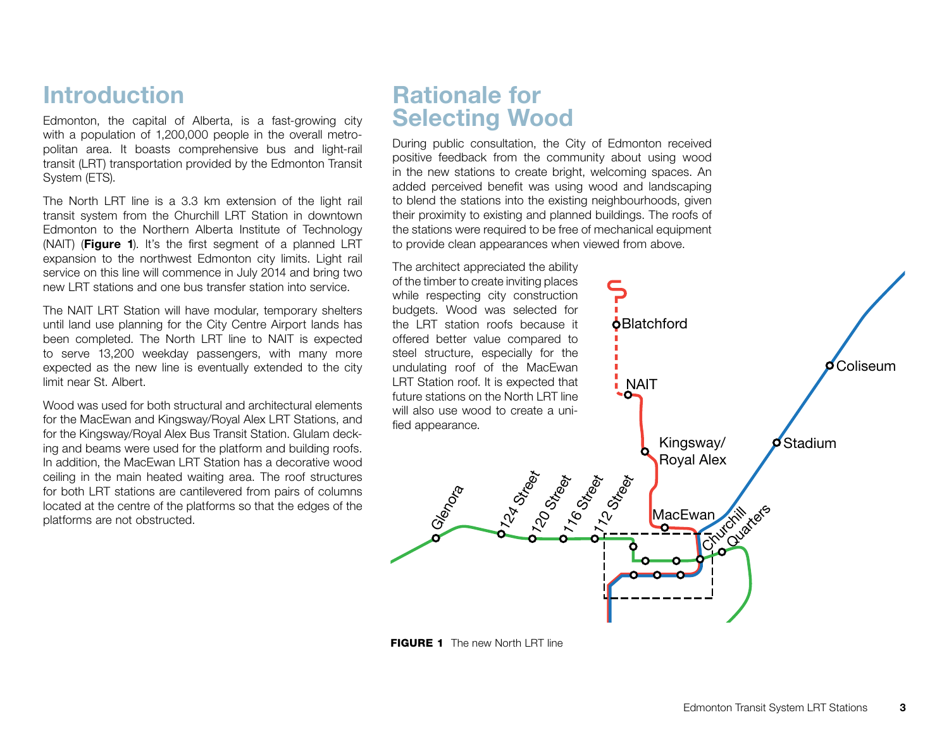# Introduction

Edmonton, the capital of Alberta, is a fast-growing city with a population of 1,200,000 people in the overall metropolitan area. It boasts comprehensive bus and light-rail transit (LRT) transportation provided by the Edmonton Transit System (ETS).

The North LRT line is a 3.3 km extension of the light rail transit system from the Churchill LRT Station in downtown Edmonton to the Northern Alberta Institute of Technology (NAIT) (Figure 1). It's the first segment of a planned LRT expansion to the northwest Edmonton city limits. Light rail service on this line will commence in July 2014 and bring two new LRT stations and one bus transfer station into service.

The NAIT LRT Station will have modular, temporary shelters until land use planning for the City Centre Airport lands has been completed. The North LRT line to NAIT is expected to serve 13,200 weekday passengers, with many more expected as the new line is eventually extended to the city limit near St. Albert.

Wood was used for both structural and architectural elements for the MacEwan and Kingsway/Royal Alex LRT Stations, and for the Kingsway/Royal Alex Bus Transit Station. Glulam decking and beams were used for the platform and building roofs. In addition, the MacEwan LRT Station has a decorative wood ceiling in the main heated waiting area. The roof structures for both LRT stations are cantilevered from pairs of columns located at the centre of the platforms so that the edges of the platforms are not obstructed.

# Rationale for Selecting Wood

During public consultation, the City of Edmonton received positive feedback from the community about using wood in the new stations to create bright, welcoming spaces. An added perceived benefit was using wood and landscaping to blend the stations into the existing neighbourhoods, given their proximity to existing and planned buildings. The roofs of the stations were required to be free of mechanical equipment to provide clean appearances when viewed from above.



**FIGURE 1** The new North LRT line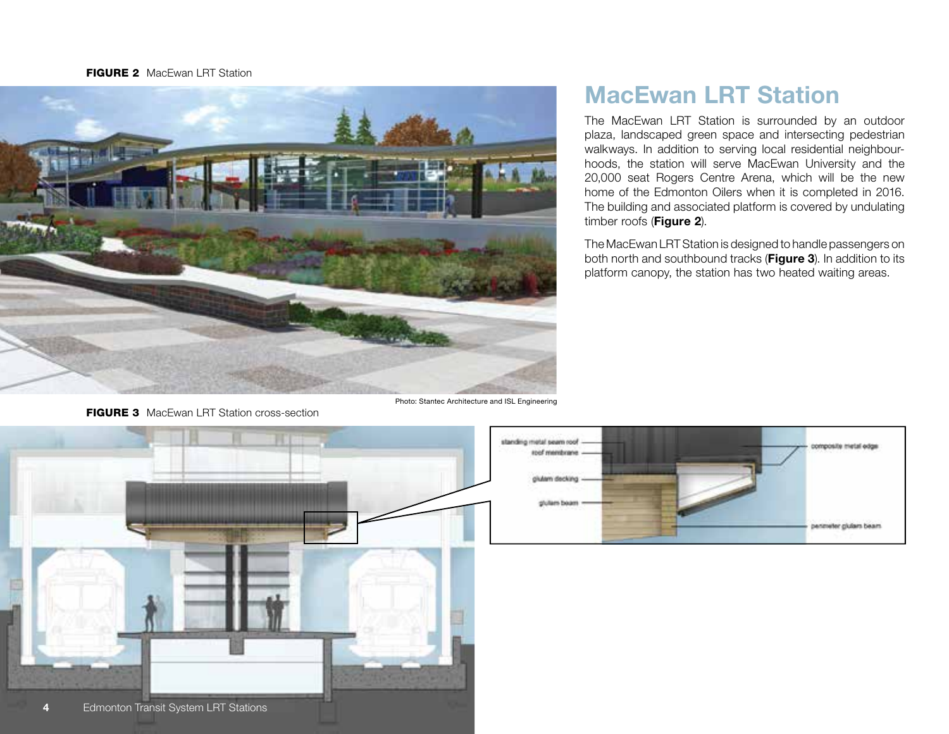#### **FIGURE 2** MacEwan LRT Station



**FIGURE 3** MacEwan LRT Station cross-section

Photo: Stantec Architecture and ISL Engineering

# MacEwan LRT Station

The MacEwan LRT Station is surrounded by an outdoor plaza, landscaped green space and intersecting pedestrian walkways. In addition to serving local residential neighbourhoods, the station will serve MacEwan University and the 20,000 seat Rogers Centre Arena, which will be the new home of the Edmonton Oilers when it is completed in 2016. The building and associated platform is covered by undulating timber roofs (Figure 2).

The MacEwan LRT Station is designed to handle passengers on both north and southbound tracks (Figure 3). In addition to its platform canopy, the station has two heated waiting areas.



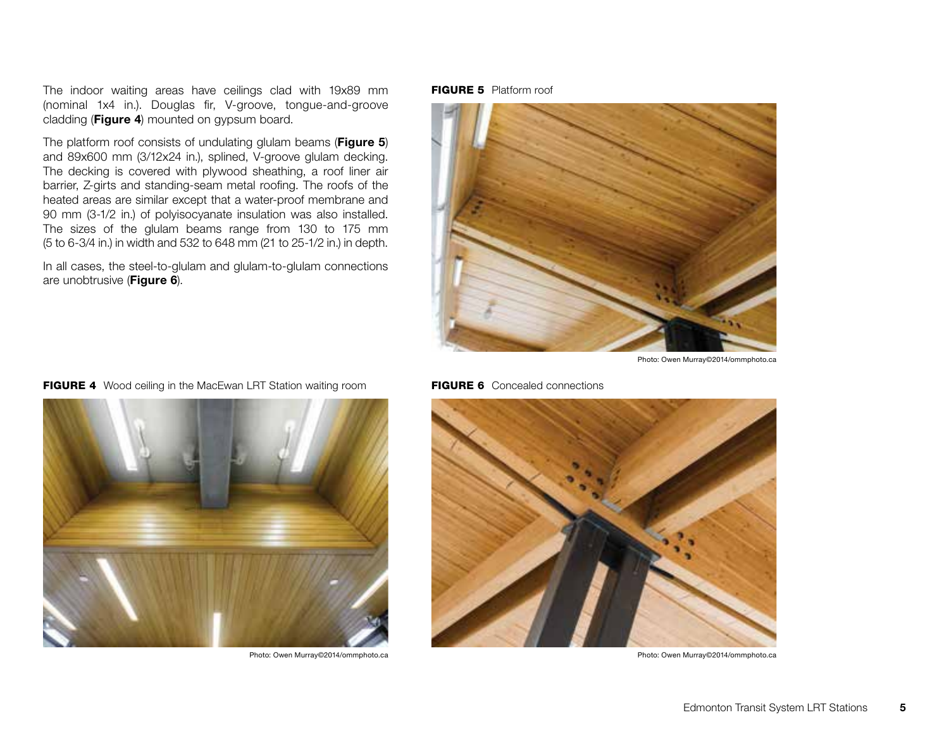The indoor waiting areas have ceilings clad with 19x89 mm (nominal 1x4 in.). Douglas fir, V-groove, tongue-and-groove cladding (Figure 4) mounted on gypsum board.

The platform roof consists of undulating glulam beams (Figure 5) and 89x600 mm (3/12x24 in.), splined, V-groove glulam decking. The decking is covered with plywood sheathing, a roof liner air barrier, Z-girts and standing-seam metal roofing. The roofs of the heated areas are similar except that a water-proof membrane and 90 mm (3-1/2 in.) of polyisocyanate insulation was also installed. The sizes of the glulam beams range from 130 to 175 mm (5 to 6-3/4 in.) in width and 532 to 648 mm (21 to 25-1/2 in.) in depth.

In all cases, the steel-to-glulam and glulam-to-glulam connections are unobtrusive (Figure 6).

**FIGURE 5** Platform roof



Photo: Owen Murray©2014/ommphoto.ca

#### **FIGURE 6** Concealed connections



Photo: Owen Murray©2014/ommphoto.ca Photo: Owen Murray©2014/ommphoto.ca



#### FIGURE 4 Wood ceiling in the MacEwan LRT Station waiting room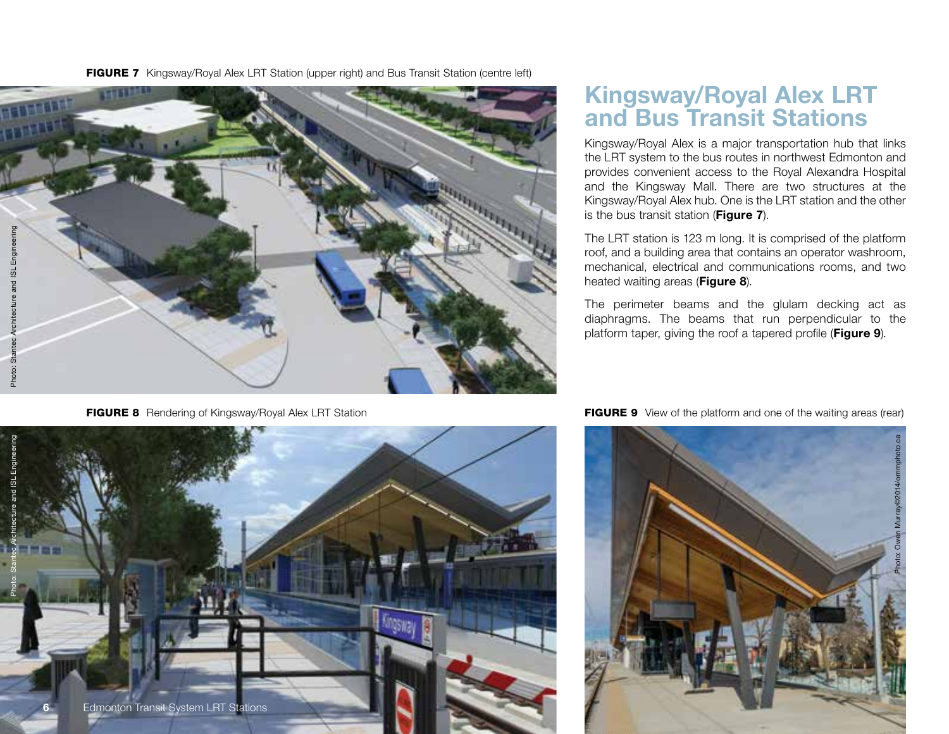FIGURE 7 Kingsway/Royal Alex LRT Station (upper right) and Bus Transit Station (centre left)



# Kingsway/Royal Alex LRT and Bus Transit Stations

Kingsway/Royal Alex is a major transportation hub that links the LRT system to the bus routes in northwest Edmonton and provides convenient access to the Royal Alexandra Hospital and the Kingsway Mall. There are two structures at the Kingsway/Royal Alex hub. One is the LRT station and the other is the bus transit station (Figure 7).

The LRT station is 123 m long. It is comprised of the platform roof, and a building area that contains an operator washroom, mechanical, electrical and communications rooms, and two heated waiting areas (Figure 8).

The perimeter beams and the glulam decking act as diaphragms. The beams that run perpendicular to the platform taper, giving the roof a tapered profile (Figure 9).





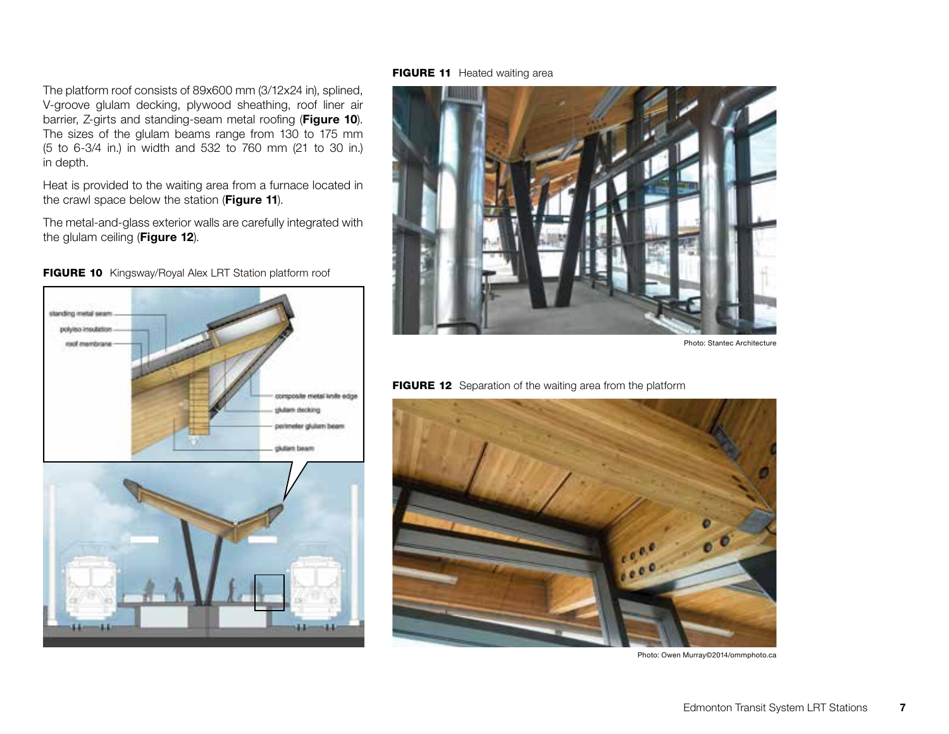The platform roof consists of 89x600 mm (3/12x24 in), splined, V-groove glulam decking, plywood sheathing, roof liner air barrier, Z-girts and standing-seam metal roofing (Figure 10). The sizes of the glulam beams range from 130 to 175 mm (5 to 6-3/4 in.) in width and 532 to 760 mm (21 to 30 in.) in depth.

Heat is provided to the waiting area from a furnace located in the crawl space below the station (Figure 11).

The metal-and-glass exterior walls are carefully integrated with the glulam ceiling (Figure 12).







#### FIGURE 11 Heated waiting area



Photo: Stantec Architecture





Photo: Owen Murray©2014/ommphoto.ca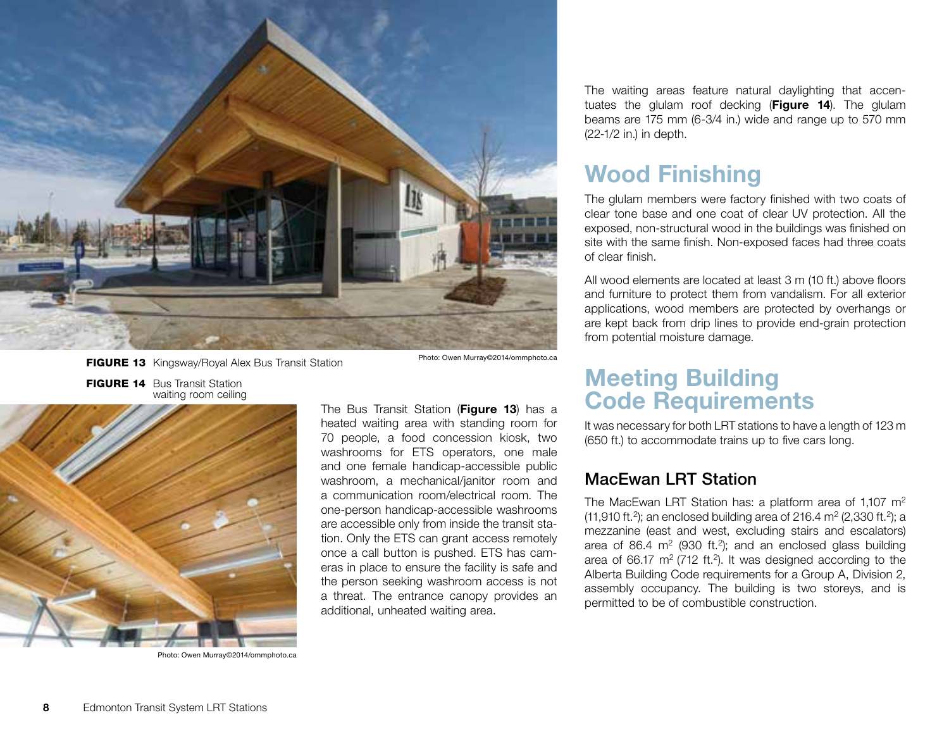

FIGURE 13 Kingsway/Royal Alex Bus Transit Station Photo: Owen Murray©2014/ommphoto.ca

FIGURE 14 Bus Transit Station waiting room ceiling



Photo: Owen Murray©2014/ommphoto.ca

The Bus Transit Station (Figure 13) has a heated waiting area with standing room for 70 people, a food concession kiosk, two washrooms for ETS operators, one male and one female handicap-accessible public washroom, a mechanical/janitor room and a communication room/electrical room. The one-person handicap-accessible washrooms are accessible only from inside the transit station. Only the ETS can grant access remotely once a call button is pushed. ETS has cameras in place to ensure the facility is safe and the person seeking washroom access is not a threat. The entrance canopy provides an additional, unheated waiting area.

The waiting areas feature natural daylighting that accentuates the glulam roof decking (Figure 14). The glulam beams are 175 mm (6-3/4 in.) wide and range up to 570 mm (22-1/2 in.) in depth.

# Wood Finishing

The glulam members were factory finished with two coats of clear tone base and one coat of clear UV protection. All the exposed, non-structural wood in the buildings was finished on site with the same finish. Non-exposed faces had three coats of clear finish.

All wood elements are located at least 3 m (10 ft.) above floors and furniture to protect them from vandalism. For all exterior applications, wood members are protected by overhangs or are kept back from drip lines to provide end-grain protection from potential moisture damage.

# Meeting Building Code Requirements

It was necessary for both LRT stations to have a length of 123 m (650 ft.) to accommodate trains up to five cars long.

## MacEwan LRT Station

The MacEwan LRT Station has: a platform area of 1,107 m<sup>2</sup>  $(11,910 \text{ ft.}^2)$ ; an enclosed building area of 216.4 m<sup>2</sup> (2,330 ft.<sup>2</sup>); a mezzanine (east and west, excluding stairs and escalators) area of 86.4  $m^2$  (930 ft.<sup>2</sup>); and an enclosed glass building area of 66.17  $m^2$  (712 ft.<sup>2</sup>). It was designed according to the Alberta Building Code requirements for a Group A, Division 2, assembly occupancy. The building is two storeys, and is permitted to be of combustible construction.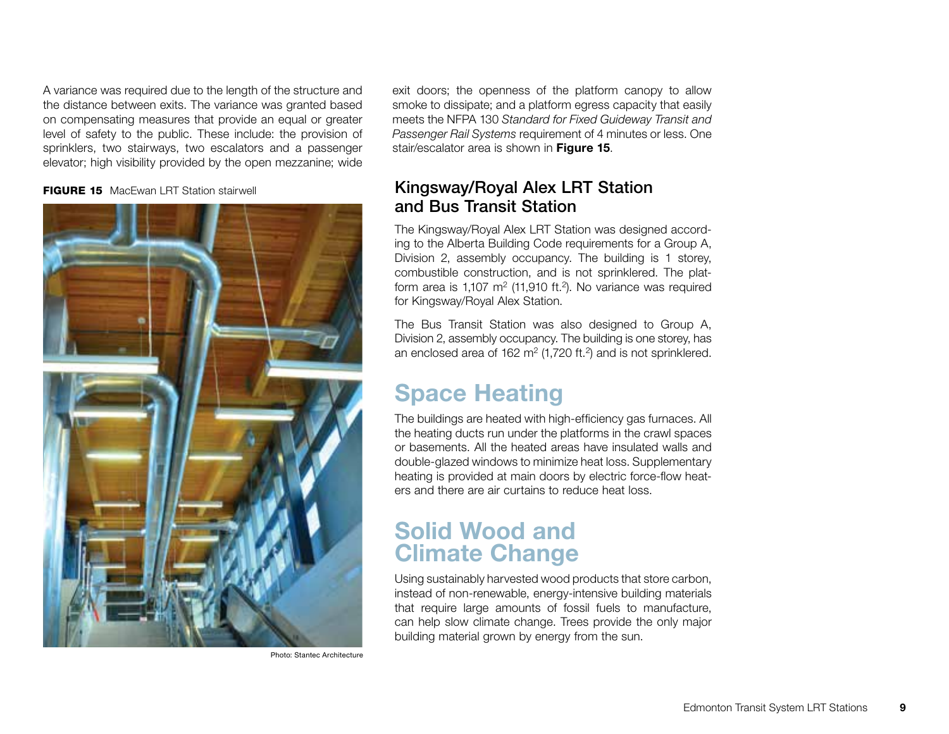A variance was required due to the length of the structure and the distance between exits. The variance was granted based on compensating measures that provide an equal or greater level of safety to the public. These include: the provision of sprinklers, two stairways, two escalators and a passenger elevator; high visibility provided by the open mezzanine; wide

**FIGURE 15** MacEwan LRT Station stairwell



Photo: Stantec Architecture

exit doors; the openness of the platform canopy to allow smoke to dissipate; and a platform egress capacity that easily meets the NFPA 130 *Standard for Fixed Guideway Transit and Passenger Rail Systems* requirement of 4 minutes or less. One stair/escalator area is shown in Figure 15.

## Kingsway/Royal Alex LRT Station and Bus Transit Station

The Kingsway/Royal Alex LRT Station was designed according to the Alberta Building Code requirements for a Group A, Division 2, assembly occupancy. The building is 1 storey, combustible construction, and is not sprinklered. The platform area is  $1,107 \text{ m}^2$  (11,910 ft.<sup>2</sup>). No variance was required for Kingsway/Royal Alex Station.

The Bus Transit Station was also designed to Group A, Division 2, assembly occupancy. The building is one storey, has an enclosed area of 162 m<sup>2</sup> (1,720 ft.<sup>2</sup>) and is not sprinklered.

# Space Heating

The buildings are heated with high-efficiency gas furnaces. All the heating ducts run under the platforms in the crawl spaces or basements. All the heated areas have insulated walls and double-glazed windows to minimize heat loss. Supplementary heating is provided at main doors by electric force-flow heaters and there are air curtains to reduce heat loss.

# Solid Wood and Climate Change

Using sustainably harvested wood products that store carbon, instead of non-renewable, energy-intensive building materials that require large amounts of fossil fuels to manufacture, can help slow climate change. Trees provide the only major building material grown by energy from the sun.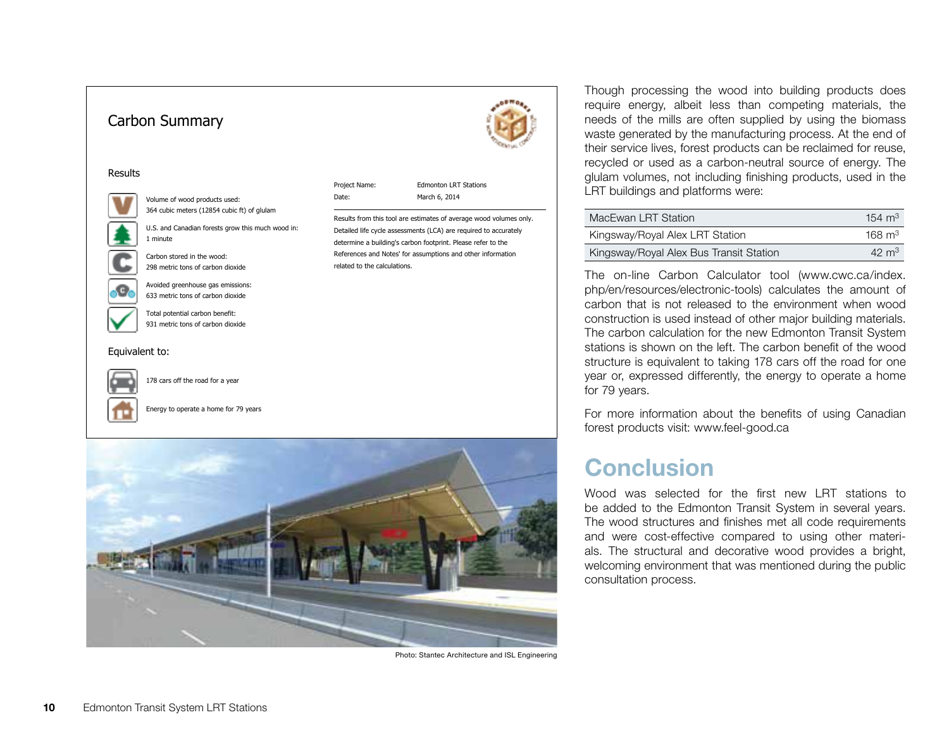

Photo: Stantec Architecture and ISL Engineering

Though processing the wood into building products does require energy, albeit less than competing materials, the needs of the mills are often supplied by using the biomass waste generated by the manufacturing process. At the end of their service lives, forest products can be reclaimed for reuse, recycled or used as a carbon-neutral source of energy. The glulam volumes, not including finishing products, used in the LRT buildings and platforms were:

| MacEwan LRT Station                     | 154 $\mathrm{m}^3$ |
|-----------------------------------------|--------------------|
| Kingsway/Royal Alex LRT Station         | $168 \text{ m}^3$  |
| Kingsway/Royal Alex Bus Transit Station | $42 \text{ m}^3$   |

The on-line Carbon Calculator tool (www.cwc.ca/index. php/en/resources/electronic-tools) calculates the amount of carbon that is not released to the environment when wood construction is used instead of other major building materials. The carbon calculation for the new Edmonton Transit System stations is shown on the left. The carbon benefit of the wood structure is equivalent to taking 178 cars off the road for one year or, expressed differently, the energy to operate a home for 79 years.

For more information about the benefits of using Canadian forest products visit: www.feel-good.ca

## **Conclusion**

Wood was selected for the first new LRT stations to be added to the Edmonton Transit System in several years. The wood structures and finishes met all code requirements and were cost-effective compared to using other materials. The structural and decorative wood provides a bright, welcoming environment that was mentioned during the public consultation process.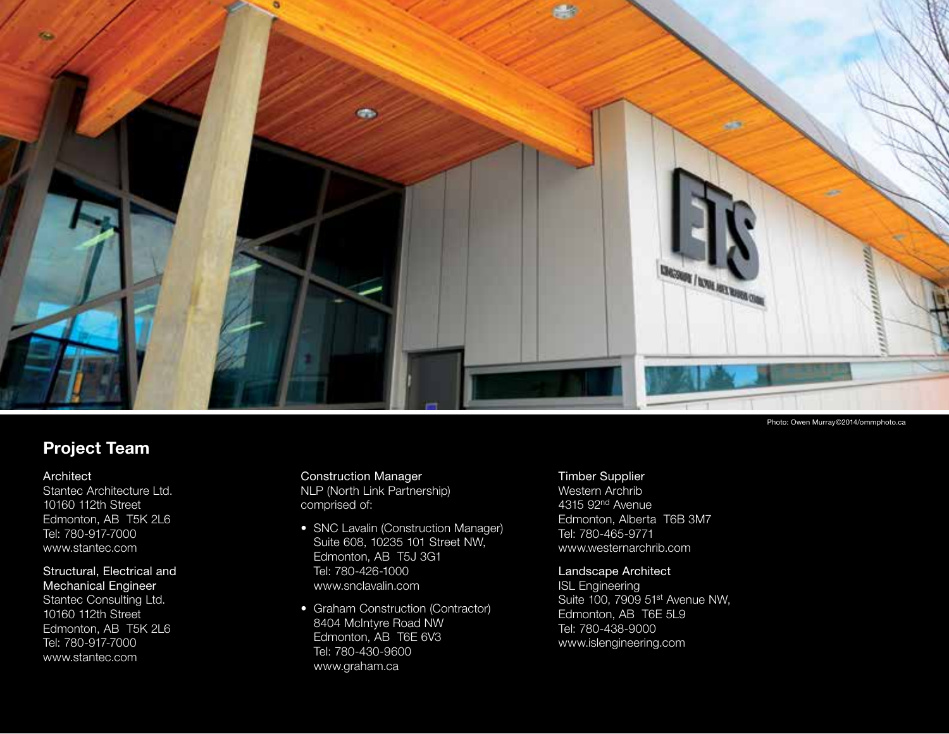

## Project Team

## Architect

Stantec Architecture Ltd. 10160 112th Street Edmonton, AB T5K 2L6 Tel: 780-917-7000 www.stantec.com

## Structural, Electrical and Mechanical Engineer

Stantec Consulting Ltd. 10160 112th Street Edmonton, AB T5K 2L6 Tel: 780-917-7000 www.stantec.com

## Construction Manager NLP (North Link Partnership) comprised of:

- SNC Lavalin (Construction Manager) Suite 608, 10235 101 Street NW, Edmonton, AB T5J 3G1 Tel: 780-426-1000 www.snclavalin.com
- Graham Construction (Contractor) 8404 McIntyre Road NW Edmonton, AB T6E 6V3 Tel: 780-430-9600 www.graham.ca

### Timber Supplier

Western Archrib 4315 92nd Avenue Edmonton, Alberta T6B 3M7 Tel: 780-465-9771 www.westernarchrib.com

## Landscape Architect

ISL Engineering Suite 100, 7909 51st Avenue NW, Edmonton, AB T6E 5L9 Tel: 780-438-9000 www.islengineering.com